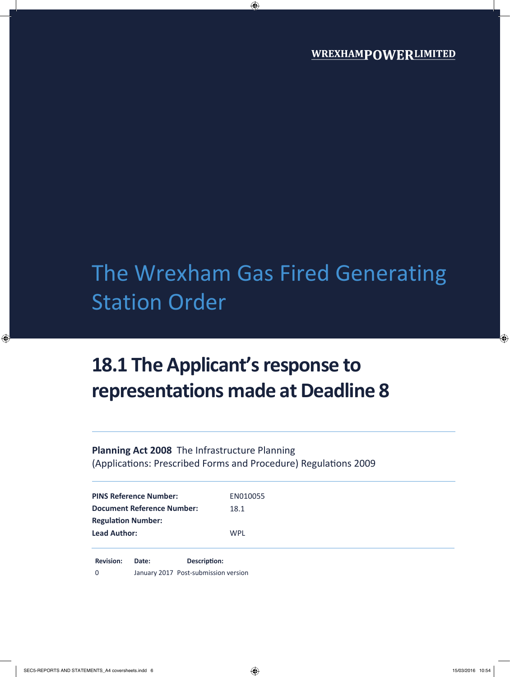# The Wrexham Gas Fired Generating Station Order

## **18.1 The Applicant's response to representations made at Deadline 8**

**Planning Act 2008** The Infrastructure Planning (Applications: Prescribed Forms and Procedure) Regulations 2009

| <b>PINS Reference Number:</b>     | EN010055 |
|-----------------------------------|----------|
| <b>Document Reference Number:</b> | 18.1     |
| <b>Regulation Number:</b>         |          |
| <b>Lead Author:</b>               | WPL      |
|                                   |          |

**Revision: Date: Description:** 0 January 2017 Post-submission version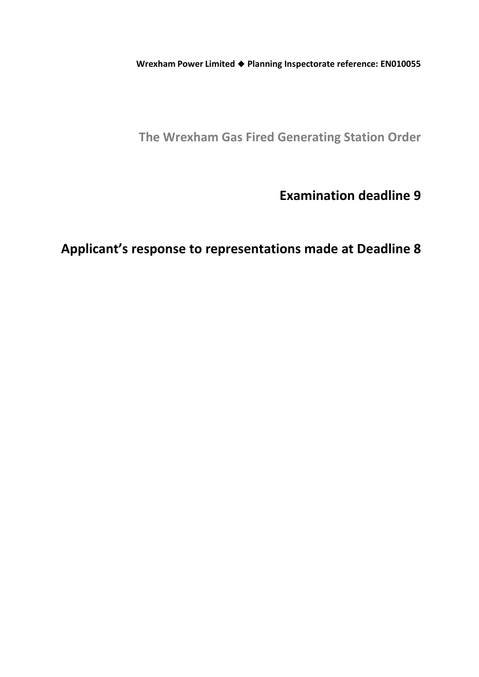**Wrexham Power Limited Planning Inspectorate reference: EN010055**

**The Wrexham Gas Fired Generating Station Order**

**Examination deadline 9**

**Applicant's response to representations made at Deadline 8**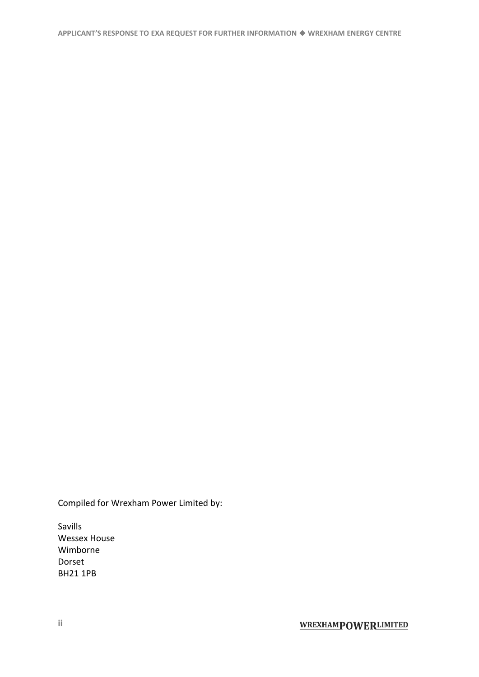Compiled for Wrexham Power Limited by:

Savills Wessex House Wimborne Dorset BH21 1PB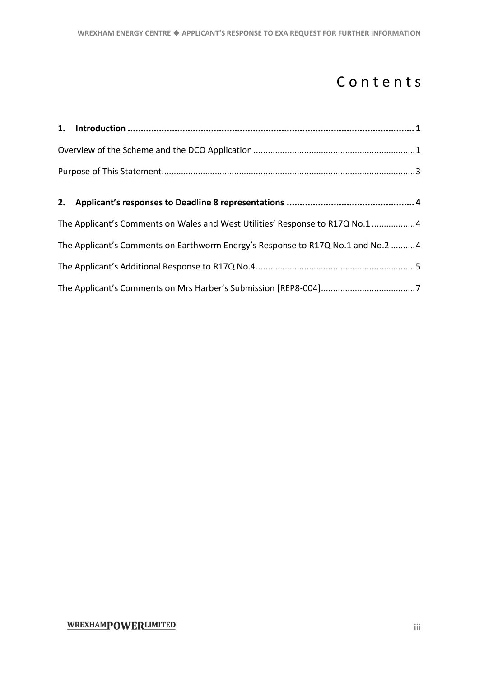## Contents

| The Applicant's Comments on Wales and West Utilities' Response to R17Q No.1 4   |  |
|---------------------------------------------------------------------------------|--|
| The Applicant's Comments on Earthworm Energy's Response to R17Q No.1 and No.2 4 |  |
|                                                                                 |  |
|                                                                                 |  |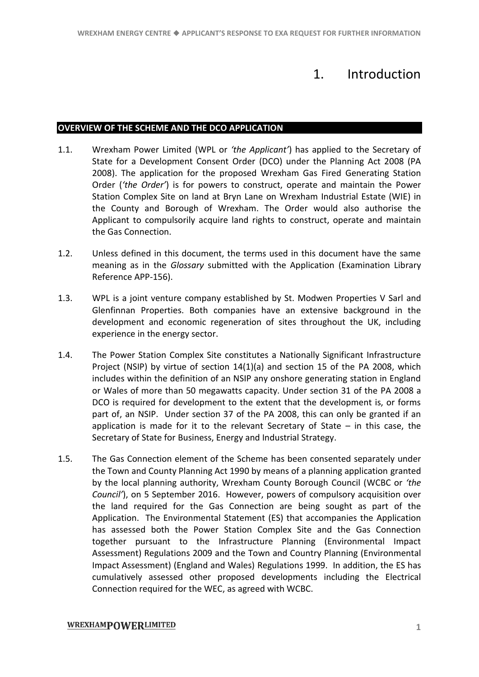### 1. Introduction

#### <span id="page-6-1"></span><span id="page-6-0"></span>**OVERVIEW OF THE SCHEME AND THE DCO APPLICATION**

- 1.1. Wrexham Power Limited (WPL or *'the Applicant'*) has applied to the Secretary of State for a Development Consent Order (DCO) under the Planning Act 2008 (PA 2008). The application for the proposed Wrexham Gas Fired Generating Station Order (*'the Order'*) is for powers to construct, operate and maintain the Power Station Complex Site on land at Bryn Lane on Wrexham Industrial Estate (WIE) in the County and Borough of Wrexham. The Order would also authorise the Applicant to compulsorily acquire land rights to construct, operate and maintain the Gas Connection.
- 1.2. Unless defined in this document, the terms used in this document have the same meaning as in the *Glossary* submitted with the Application (Examination Library Reference APP-156).
- 1.3. WPL is a joint venture company established by St. Modwen Properties V Sarl and Glenfinnan Properties. Both companies have an extensive background in the development and economic regeneration of sites throughout the UK, including experience in the energy sector.
- 1.4. The Power Station Complex Site constitutes a Nationally Significant Infrastructure Project (NSIP) by virtue of section 14(1)(a) and section 15 of the PA 2008, which includes within the definition of an NSIP any onshore generating station in England or Wales of more than 50 megawatts capacity. Under section 31 of the PA 2008 a DCO is required for development to the extent that the development is, or forms part of, an NSIP. Under section 37 of the PA 2008, this can only be granted if an application is made for it to the relevant Secretary of State  $-$  in this case, the Secretary of State for Business, Energy and Industrial Strategy.
- 1.5. The Gas Connection element of the Scheme has been consented separately under the Town and County Planning Act 1990 by means of a planning application granted by the local planning authority, Wrexham County Borough Council (WCBC or *'the Council'*), on 5 September 2016. However, powers of compulsory acquisition over the land required for the Gas Connection are being sought as part of the Application. The Environmental Statement (ES) that accompanies the Application has assessed both the Power Station Complex Site and the Gas Connection together pursuant to the Infrastructure Planning (Environmental Impact Assessment) Regulations 2009 and the Town and Country Planning (Environmental Impact Assessment) (England and Wales) Regulations 1999. In addition, the ES has cumulatively assessed other proposed developments including the Electrical Connection required for the WEC, as agreed with WCBC.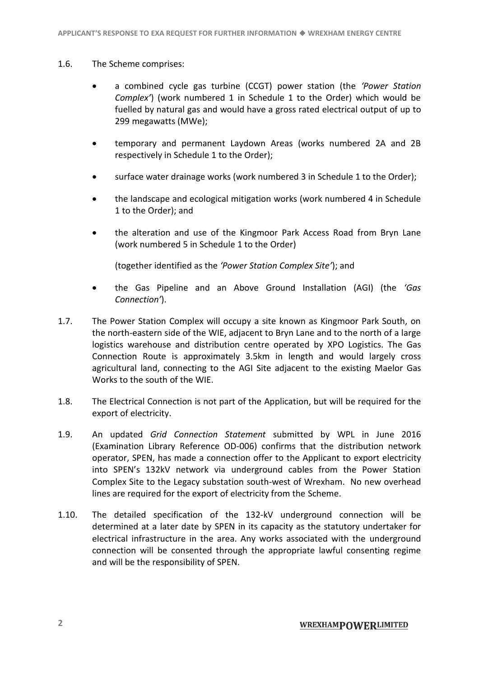#### 1.6. The Scheme comprises:

- a combined cycle gas turbine (CCGT) power station (the *'Power Station Complex'*) (work numbered 1 in Schedule 1 to the Order) which would be fuelled by natural gas and would have a gross rated electrical output of up to 299 megawatts (MWe);
- temporary and permanent Laydown Areas (works numbered 2A and 2B respectively in Schedule 1 to the Order);
- surface water drainage works (work numbered 3 in Schedule 1 to the Order);
- the landscape and ecological mitigation works (work numbered 4 in Schedule 1 to the Order); and
- the alteration and use of the Kingmoor Park Access Road from Bryn Lane (work numbered 5 in Schedule 1 to the Order)

(together identified as the *'Power Station Complex Site'*); and

- the Gas Pipeline and an Above Ground Installation (AGI) (the *'Gas Connection'*).
- 1.7. The Power Station Complex will occupy a site known as Kingmoor Park South, on the north-eastern side of the WIE, adjacent to Bryn Lane and to the north of a large logistics warehouse and distribution centre operated by XPO Logistics. The Gas Connection Route is approximately 3.5km in length and would largely cross agricultural land, connecting to the AGI Site adjacent to the existing Maelor Gas Works to the south of the WIF
- 1.8. The Electrical Connection is not part of the Application, but will be required for the export of electricity.
- 1.9. An updated *Grid Connection Statement* submitted by WPL in June 2016 (Examination Library Reference OD-006) confirms that the distribution network operator, SPEN, has made a connection offer to the Applicant to export electricity into SPEN's 132kV network via underground cables from the Power Station Complex Site to the Legacy substation south-west of Wrexham. No new overhead lines are required for the export of electricity from the Scheme.
- 1.10. The detailed specification of the 132-kV underground connection will be determined at a later date by SPEN in its capacity as the statutory undertaker for electrical infrastructure in the area. Any works associated with the underground connection will be consented through the appropriate lawful consenting regime and will be the responsibility of SPEN.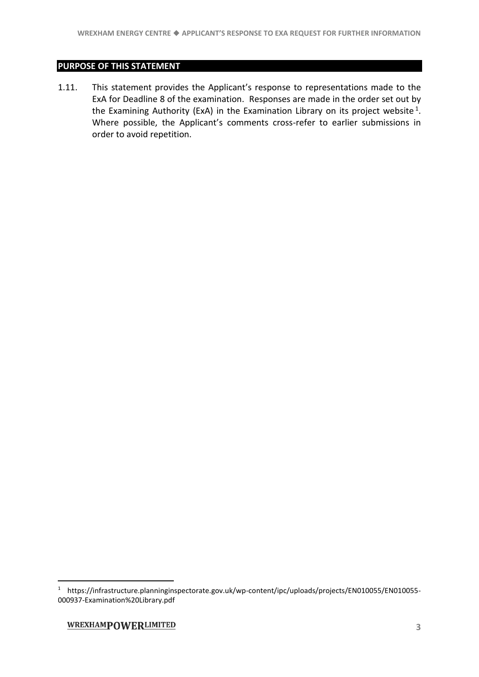#### <span id="page-8-0"></span>**PURPOSE OF THIS STATEMENT**

1.11. This statement provides the Applicant's response to representations made to the ExA for Deadline 8 of the examination. Responses are made in the order set out by the Examining Authority (ExA) in the Examination Library on its project website  $1$ . Where possible, the Applicant's comments cross-refer to earlier submissions in order to avoid repetition.

-

<sup>1</sup> https://infrastructure.planninginspectorate.gov.uk/wp-content/ipc/uploads/projects/EN010055/EN010055- 000937-Examination%20Library.pdf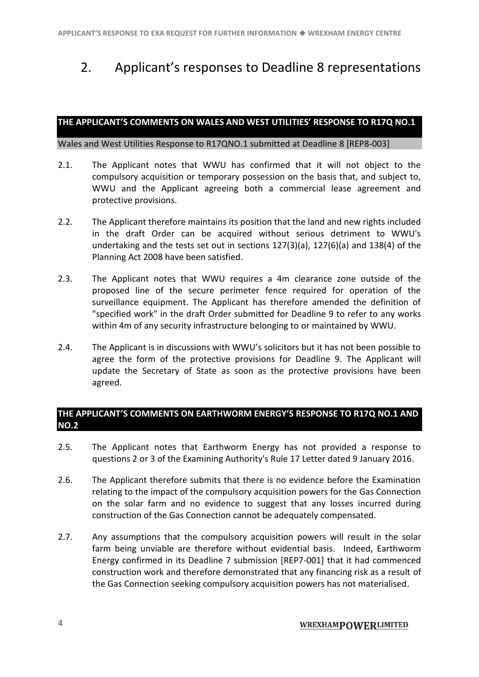## <span id="page-9-0"></span>2. Applicant's responses to Deadline 8 representations

#### <span id="page-9-1"></span>**THE APPLICANT'S COMMENTS ON WALES AND WEST UTILITIES' RESPONSE TO R17Q NO.1**

Wales and West Utilities Response to R17QNO.1 submitted at Deadline 8 [REP8-003]

- 2.1. The Applicant notes that WWU has confirmed that it will not object to the compulsory acquisition or temporary possession on the basis that, and subject to, WWU and the Applicant agreeing both a commercial lease agreement and protective provisions.
- 2.2. The Applicant therefore maintains its position that the land and new rights included in the draft Order can be acquired without serious detriment to WWU's undertaking and the tests set out in sections 127(3)(a), 127(6)(a) and 138(4) of the Planning Act 2008 have been satisfied.
- 2.3. The Applicant notes that WWU requires a 4m clearance zone outside of the proposed line of the secure perimeter fence required for operation of the surveillance equipment. The Applicant has therefore amended the definition of "specified work" in the draft Order submitted for Deadline 9 to refer to any works within 4m of any security infrastructure belonging to or maintained by WWU.
- 2.4. The Applicant is in discussions with WWU's solicitors but it has not been possible to agree the form of the protective provisions for Deadline 9. The Applicant will update the Secretary of State as soon as the protective provisions have been agreed.

#### <span id="page-9-2"></span>**THE APPLICANT'S COMMENTS ON EARTHWORM ENERGY'S RESPONSE TO R17Q NO.1 AND NO.2**

- 2.5. The Applicant notes that Earthworm Energy has not provided a response to questions 2 or 3 of the Examining Authority's Rule 17 Letter dated 9 January 2016.
- 2.6. The Applicant therefore submits that there is no evidence before the Examination relating to the impact of the compulsory acquisition powers for the Gas Connection on the solar farm and no evidence to suggest that any losses incurred during construction of the Gas Connection cannot be adequately compensated.
- 2.7. Any assumptions that the compulsory acquisition powers will result in the solar farm being unviable are therefore without evidential basis. Indeed, Earthworm Energy confirmed in its Deadline 7 submission [REP7-001] that it had commenced construction work and therefore demonstrated that any financing risk as a result of the Gas Connection seeking compulsory acquisition powers has not materialised.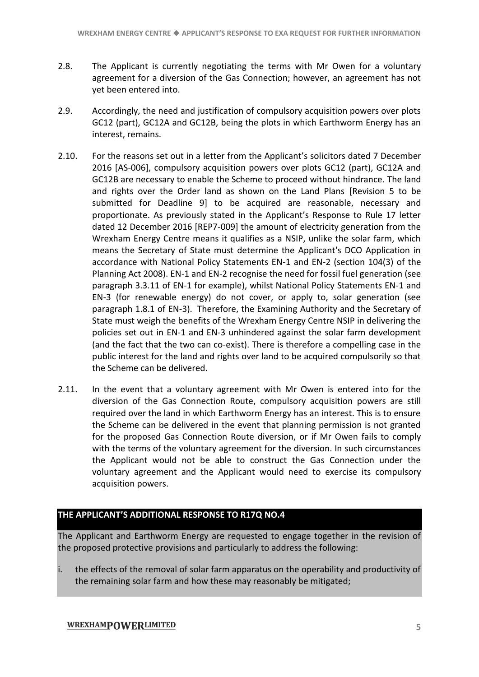- 2.8. The Applicant is currently negotiating the terms with Mr Owen for a voluntary agreement for a diversion of the Gas Connection; however, an agreement has not yet been entered into.
- 2.9. Accordingly, the need and justification of compulsory acquisition powers over plots GC12 (part), GC12A and GC12B, being the plots in which Earthworm Energy has an interest, remains.
- 2.10. For the reasons set out in a letter from the Applicant's solicitors dated 7 December 2016 [AS-006], compulsory acquisition powers over plots GC12 (part), GC12A and GC12B are necessary to enable the Scheme to proceed without hindrance. The land and rights over the Order land as shown on the Land Plans [Revision 5 to be submitted for Deadline 9] to be acquired are reasonable, necessary and proportionate. As previously stated in the Applicant's Response to Rule 17 letter dated 12 December 2016 [REP7-009] the amount of electricity generation from the Wrexham Energy Centre means it qualifies as a NSIP, unlike the solar farm, which means the Secretary of State must determine the Applicant's DCO Application in accordance with National Policy Statements EN-1 and EN-2 (section 104(3) of the Planning Act 2008). EN-1 and EN-2 recognise the need for fossil fuel generation (see paragraph 3.3.11 of EN-1 for example), whilst National Policy Statements EN-1 and EN-3 (for renewable energy) do not cover, or apply to, solar generation (see paragraph 1.8.1 of EN-3). Therefore, the Examining Authority and the Secretary of State must weigh the benefits of the Wrexham Energy Centre NSIP in delivering the policies set out in EN-1 and EN-3 unhindered against the solar farm development (and the fact that the two can co-exist). There is therefore a compelling case in the public interest for the land and rights over land to be acquired compulsorily so that the Scheme can be delivered.
- 2.11. In the event that a voluntary agreement with Mr Owen is entered into for the diversion of the Gas Connection Route, compulsory acquisition powers are still required over the land in which Earthworm Energy has an interest. This is to ensure the Scheme can be delivered in the event that planning permission is not granted for the proposed Gas Connection Route diversion, or if Mr Owen fails to comply with the terms of the voluntary agreement for the diversion. In such circumstances the Applicant would not be able to construct the Gas Connection under the voluntary agreement and the Applicant would need to exercise its compulsory acquisition powers.

#### <span id="page-10-0"></span>**THE APPLICANT'S ADDITIONAL RESPONSE TO R17Q NO.4**

The Applicant and Earthworm Energy are requested to engage together in the revision of the proposed protective provisions and particularly to address the following:

i. the effects of the removal of solar farm apparatus on the operability and productivity of the remaining solar farm and how these may reasonably be mitigated;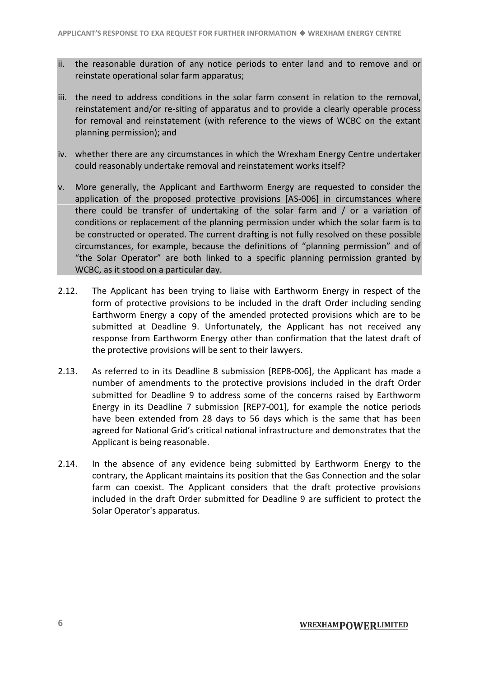- ii. the reasonable duration of any notice periods to enter land and to remove and or reinstate operational solar farm apparatus;
- iii. the need to address conditions in the solar farm consent in relation to the removal, reinstatement and/or re-siting of apparatus and to provide a clearly operable process for removal and reinstatement (with reference to the views of WCBC on the extant planning permission); and
- iv. whether there are any circumstances in which the Wrexham Energy Centre undertaker could reasonably undertake removal and reinstatement works itself?
- v. More generally, the Applicant and Earthworm Energy are requested to consider the application of the proposed protective provisions [AS-006] in circumstances where there could be transfer of undertaking of the solar farm and / or a variation of conditions or replacement of the planning permission under which the solar farm is to be constructed or operated. The current drafting is not fully resolved on these possible circumstances, for example, because the definitions of "planning permission" and of "the Solar Operator" are both linked to a specific planning permission granted by WCBC, as it stood on a particular day.
- 2.12. The Applicant has been trying to liaise with Earthworm Energy in respect of the form of protective provisions to be included in the draft Order including sending Earthworm Energy a copy of the amended protected provisions which are to be submitted at Deadline 9. Unfortunately, the Applicant has not received any response from Earthworm Energy other than confirmation that the latest draft of the protective provisions will be sent to their lawyers.
- 2.13. As referred to in its Deadline 8 submission [REP8-006], the Applicant has made a number of amendments to the protective provisions included in the draft Order submitted for Deadline 9 to address some of the concerns raised by Earthworm Energy in its Deadline 7 submission [REP7-001], for example the notice periods have been extended from 28 days to 56 days which is the same that has been agreed for National Grid's critical national infrastructure and demonstrates that the Applicant is being reasonable.
- 2.14. In the absence of any evidence being submitted by Earthworm Energy to the contrary, the Applicant maintains its position that the Gas Connection and the solar farm can coexist. The Applicant considers that the draft protective provisions included in the draft Order submitted for Deadline 9 are sufficient to protect the Solar Operator's apparatus.